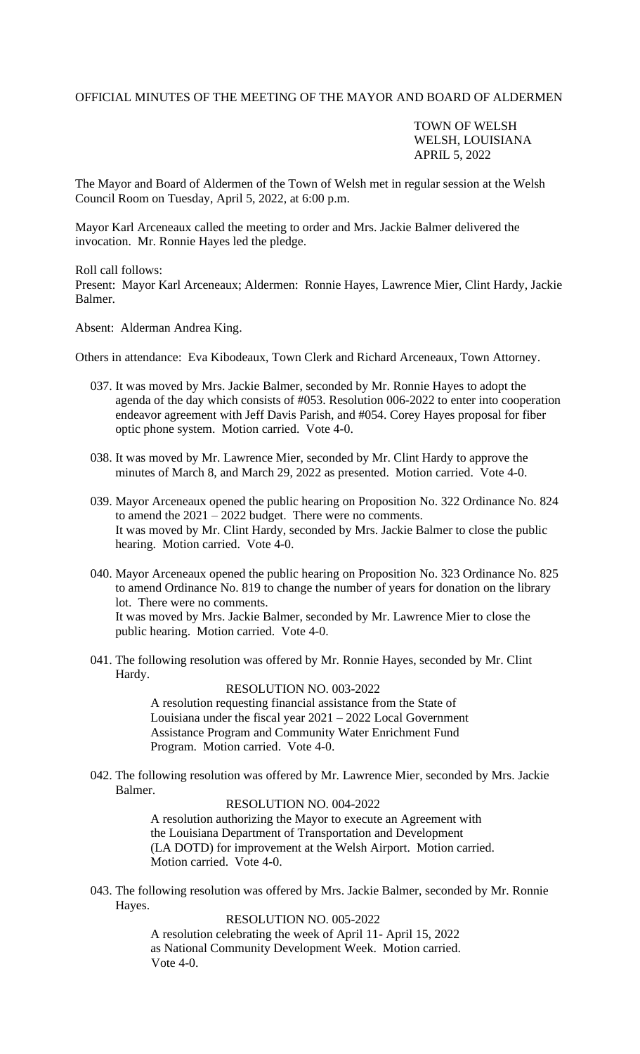## OFFICIAL MINUTES OF THE MEETING OF THE MAYOR AND BOARD OF ALDERMEN

## TOWN OF WELSH WELSH, LOUISIANA APRIL 5, 2022

The Mayor and Board of Aldermen of the Town of Welsh met in regular session at the Welsh Council Room on Tuesday, April 5, 2022, at 6:00 p.m.

Mayor Karl Arceneaux called the meeting to order and Mrs. Jackie Balmer delivered the invocation. Mr. Ronnie Hayes led the pledge.

Roll call follows:

Present: Mayor Karl Arceneaux; Aldermen: Ronnie Hayes, Lawrence Mier, Clint Hardy, Jackie Balmer.

Absent: Alderman Andrea King.

Others in attendance: Eva Kibodeaux, Town Clerk and Richard Arceneaux, Town Attorney.

- 037. It was moved by Mrs. Jackie Balmer, seconded by Mr. Ronnie Hayes to adopt the agenda of the day which consists of #053. Resolution 006-2022 to enter into cooperation endeavor agreement with Jeff Davis Parish, and #054. Corey Hayes proposal for fiber optic phone system. Motion carried. Vote 4-0.
- 038. It was moved by Mr. Lawrence Mier, seconded by Mr. Clint Hardy to approve the minutes of March 8, and March 29, 2022 as presented. Motion carried. Vote 4-0.
- 039. Mayor Arceneaux opened the public hearing on Proposition No. 322 Ordinance No. 824 to amend the 2021 – 2022 budget. There were no comments. It was moved by Mr. Clint Hardy, seconded by Mrs. Jackie Balmer to close the public hearing. Motion carried. Vote 4-0.
- 040. Mayor Arceneaux opened the public hearing on Proposition No. 323 Ordinance No. 825 to amend Ordinance No. 819 to change the number of years for donation on the library lot. There were no comments. It was moved by Mrs. Jackie Balmer, seconded by Mr. Lawrence Mier to close the

public hearing. Motion carried. Vote 4-0.

041. The following resolution was offered by Mr. Ronnie Hayes, seconded by Mr. Clint Hardy.

RESOLUTION NO. 003-2022

A resolution requesting financial assistance from the State of Louisiana under the fiscal year 2021 – 2022 Local Government Assistance Program and Community Water Enrichment Fund Program. Motion carried. Vote 4-0.

042. The following resolution was offered by Mr. Lawrence Mier, seconded by Mrs. Jackie Balmer.

> RESOLUTION NO. 004-2022 A resolution authorizing the Mayor to execute an Agreement with the Louisiana Department of Transportation and Development (LA DOTD) for improvement at the Welsh Airport. Motion carried. Motion carried. Vote 4-0.

043. The following resolution was offered by Mrs. Jackie Balmer, seconded by Mr. Ronnie Hayes.

> RESOLUTION NO. 005-2022 A resolution celebrating the week of April 11- April 15, 2022 as National Community Development Week. Motion carried. Vote 4-0.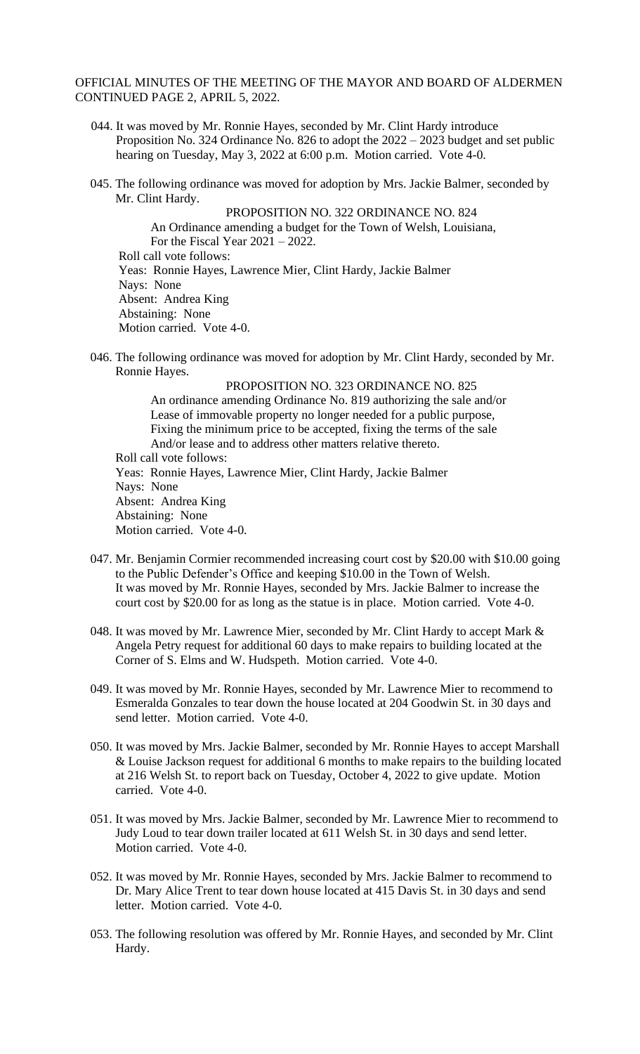## OFFICIAL MINUTES OF THE MEETING OF THE MAYOR AND BOARD OF ALDERMEN CONTINUED PAGE 2, APRIL 5, 2022.

- 044. It was moved by Mr. Ronnie Hayes, seconded by Mr. Clint Hardy introduce Proposition No. 324 Ordinance No. 826 to adopt the 2022 – 2023 budget and set public hearing on Tuesday, May 3, 2022 at 6:00 p.m. Motion carried. Vote 4-0.
- 045. The following ordinance was moved for adoption by Mrs. Jackie Balmer, seconded by Mr. Clint Hardy.

PROPOSITION NO. 322 ORDINANCE NO. 824 An Ordinance amending a budget for the Town of Welsh, Louisiana, For the Fiscal Year  $2021 - 2022$ . Roll call vote follows: Yeas: Ronnie Hayes, Lawrence Mier, Clint Hardy, Jackie Balmer Nays: None Absent: Andrea King Abstaining: None Motion carried. Vote 4-0.

046. The following ordinance was moved for adoption by Mr. Clint Hardy, seconded by Mr. Ronnie Hayes.

PROPOSITION NO. 323 ORDINANCE NO. 825 An ordinance amending Ordinance No. 819 authorizing the sale and/or Lease of immovable property no longer needed for a public purpose, Fixing the minimum price to be accepted, fixing the terms of the sale And/or lease and to address other matters relative thereto. Roll call vote follows: Yeas: Ronnie Hayes, Lawrence Mier, Clint Hardy, Jackie Balmer Nays: None Absent: Andrea King Abstaining: None Motion carried. Vote 4-0.

- 047. Mr. Benjamin Cormier recommended increasing court cost by \$20.00 with \$10.00 going to the Public Defender's Office and keeping \$10.00 in the Town of Welsh. It was moved by Mr. Ronnie Hayes, seconded by Mrs. Jackie Balmer to increase the court cost by \$20.00 for as long as the statue is in place. Motion carried. Vote 4-0.
- 048. It was moved by Mr. Lawrence Mier, seconded by Mr. Clint Hardy to accept Mark & Angela Petry request for additional 60 days to make repairs to building located at the Corner of S. Elms and W. Hudspeth. Motion carried. Vote 4-0.
- 049. It was moved by Mr. Ronnie Hayes, seconded by Mr. Lawrence Mier to recommend to Esmeralda Gonzales to tear down the house located at 204 Goodwin St. in 30 days and send letter. Motion carried. Vote 4-0.
- 050. It was moved by Mrs. Jackie Balmer, seconded by Mr. Ronnie Hayes to accept Marshall & Louise Jackson request for additional 6 months to make repairs to the building located at 216 Welsh St. to report back on Tuesday, October 4, 2022 to give update. Motion carried. Vote 4-0.
- 051. It was moved by Mrs. Jackie Balmer, seconded by Mr. Lawrence Mier to recommend to Judy Loud to tear down trailer located at 611 Welsh St. in 30 days and send letter. Motion carried. Vote 4-0.
- 052. It was moved by Mr. Ronnie Hayes, seconded by Mrs. Jackie Balmer to recommend to Dr. Mary Alice Trent to tear down house located at 415 Davis St. in 30 days and send letter. Motion carried. Vote 4-0.
- 053. The following resolution was offered by Mr. Ronnie Hayes, and seconded by Mr. Clint Hardy.